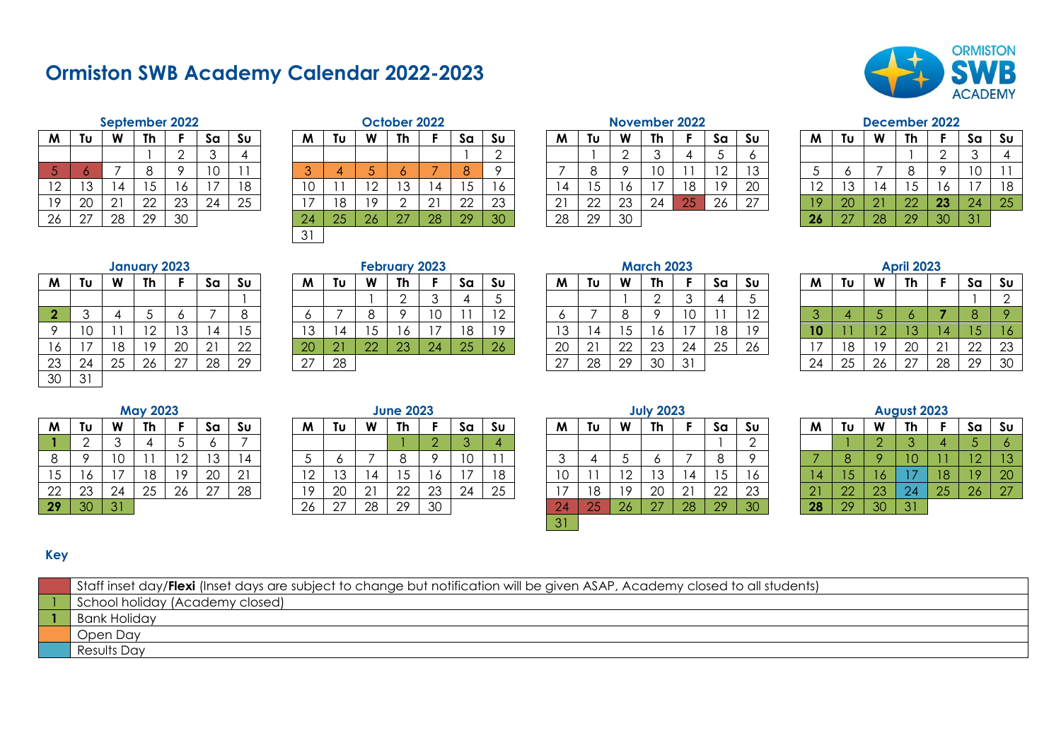# **Ormiston SWB Academy Calendar 2022-2023**



|    |    |    | September 2022 |    |    |    |
|----|----|----|----------------|----|----|----|
| M  | Tυ | W  | Th             | F  | Sa | Su |
|    |    |    |                | 2  | 3  |    |
| 5  |    |    | 8              |    | 10 |    |
| 12 | 13 | 14 | 15             | 16 | 17 | 18 |
| 19 | 20 | 21 | 22             | 23 | 24 | 25 |
| 26 | 27 | 28 | 29             | 30 |    |    |

|                   |                         |                |              | September 2022 |    |    |                      |    |     | October 2022 |    |    |           |             |    |    | November 2022 |    |           |     |    |            |         | December 2022 |    |                 |    |
|-------------------|-------------------------|----------------|--------------|----------------|----|----|----------------------|----|-----|--------------|----|----|-----------|-------------|----|----|---------------|----|-----------|-----|----|------------|---------|---------------|----|-----------------|----|
| W                 | TU                      | W              | <b>Th</b>    |                | Sa | Su | M                    | Τυ | W   | Th           |    | Sa | Su        | M           | Τυ | W  | Th            |    | Sa        | Sυ  | M  | Τυ         | W       | -Th           |    | Sa.             | Sυ |
|                   |                         |                |              |                |    |    |                      |    |     |              |    |    |           |             |    |    |               |    |           | O   |    |            |         |               |    |                 |    |
|                   |                         |                |              |                | 10 |    |                      |    |     |              |    | 8  |           |             |    |    | ΙU            |    | 1 O<br>۱∠ |     |    |            |         |               |    | ח ו<br>◡        |    |
| ר ו<br>$\epsilon$ | $\sim$<br>◡             |                |              |                |    |    |                      |    | ຳ   |              | 4  |    |           |             |    |    |               |    | 19        | 20  |    | '3         | 4       | C             |    |                 | 18 |
| 1 Q               | 20                      | 2 <sub>1</sub> | ററ<br>ᅩ      | 23             | 24 | 25 |                      |    | 1 Q |              |    | 22 | ົດຈ<br>∠∪ | $\cap$<br>▴ | 22 | 23 | 24            | 25 | 26        | -27 |    | ററ<br>ΖU   | 21<br>◢ | 22            | 23 | 24 <sup>1</sup> | 25 |
| 26                | $\sim$<br>$\mathcal{L}$ | 28             | 29<br>$\sim$ | 30             |    |    | 24                   | 25 | 26  | - 27         | 28 | 29 | 30        | 28          | 29 | 30 |               |    |           |     | 26 | $\sqrt{7}$ | 28      | 29            | 30 | $\sqrt{2V}$     |    |
|                   |                         |                |              |                |    |    | $\sim$ $\sim$<br>. ب |    |     |              |    |    |           |             |    |    |               |    |           |     |    |            |         |               |    |                 |    |
|                   |                         |                |              |                |    |    |                      |    |     |              |    |    |           |             |    |    |               |    |           |     |    |            |         |               |    |                 |    |

#### **September 2022 October 2022 November 2022 December 2022**

| M  | Tυ | W  | Th | F  | Sa | Su |
|----|----|----|----|----|----|----|
|    |    | 2  | 3  | 4  | 5  | 6  |
|    | 8  | 9  | 10 |    | 12 | 13 |
| 14 | 15 | 16 | 17 | 18 | 19 | 20 |
| 21 | 22 | 23 | 24 | 25 | 26 | 27 |
| 28 | 29 | 30 |    |    |    |    |

| M  | Tυ | W  | Th | F  | Sa | Sυ |
|----|----|----|----|----|----|----|
|    |    |    |    | 2  | 3  | 4  |
| 5  | 6  |    | 8  | 9  | 10 |    |
| 12 | 13 | 14 | 15 | 16 | 17 | 18 |
| 19 | 20 | 21 | 22 | 23 | 24 | 25 |
| 26 | 27 | 28 | 29 | 30 | 31 |    |

|                 |        |    | <b>January 2023</b> |           |                |    |           |    |   | <b>February 2023</b> |     |    |    |    |    |    | <b>March 2023</b> |    |    |    |    |    |     | <b>April 2023</b> |  |
|-----------------|--------|----|---------------------|-----------|----------------|----|-----------|----|---|----------------------|-----|----|----|----|----|----|-------------------|----|----|----|----|----|-----|-------------------|--|
| M               | ΤU     | W  | Th                  |           | Sa             | Sυ | M         | ΙU | W | <b>Th</b>            |     | Sa | Sυ | M  | Tu | W  | Th                |    | Sa | Su | M  | Tυ | W   | Th                |  |
|                 |        |    |                     |           |                |    |           |    |   |                      |     |    |    |    |    |    |                   |    |    |    |    |    |     |                   |  |
| <b>CONTRACT</b> |        |    |                     |           |                | ິ  |           |    |   |                      |     |    | 12 |    |    |    |                   | 0، |    |    |    |    |     |                   |  |
|                 | ⌒<br>U |    | $\epsilon$          | י בי<br>◡ | $\overline{4}$ | 5  | 12<br>ں ا | 4  |   |                      |     | '8 | 19 | 13 |    |    | 10                |    | 18 |    | 10 |    | ∼   |                   |  |
| טו              | -      | ۱8 | 19                  | 20        | 21             | 22 | 20        |    | ာ | റാ                   | -24 | 25 | 26 | 20 | ົາ | 22 | 23                | 24 | 25 | 26 |    | 18 | 1 Q | 20                |  |
| 23              | 24     | 25 | 26                  | 27        | 28             | 29 | 27        | 28 |   |                      |     |    |    | 07 | 28 | 29 | 30                | 31 |    |    | 24 | 25 | 26  | 27                |  |
| 30              | 31     |    |                     |           |                |    |           |    |   |                      |     |    |    |    |    |    |                   |    |    |    |    |    |     |                   |  |

| <b>February 202:</b> |  |  |  |
|----------------------|--|--|--|
|----------------------|--|--|--|

|          |    |    |           |      |          |              |     |                      |        |          |    |    |                |          |                      |    |    |    |    |                          |    |    |     | -----------        |                         |                 |    |
|----------|----|----|-----------|------|----------|--------------|-----|----------------------|--------|----------|----|----|----------------|----------|----------------------|----|----|----|----|--------------------------|----|----|-----|--------------------|-------------------------|-----------------|----|
| M        | Τυ | W  | <b>Th</b> |      | Sa       | Sυ           | M   | Tu                   | W      | Th       |    | Sa | S∪             | M        | Τυ                   | W  | Th |    | Sa | .Su                      | M  | Tu | W   | Th                 |                         | Sa              | Sυ |
|          |    |    |           |      |          |              |     |                      |        | <u>_</u> |    |    |                |          |                      |    |    |    |    |                          |    |    |     |                    |                         |                 |    |
|          |    |    |           |      |          |              |     |                      |        |          |    |    |                |          |                      |    |    |    |    | $\overline{\phantom{a}}$ |    |    |     |                    |                         |                 |    |
|          |    |    |           |      |          |              | ביו |                      | ີ      |          |    | 18 |                |          |                      |    |    |    | 18 | 10                       |    |    |     |                    |                         | . J -           |    |
| 16       |    | 10 |           | 20   | $\cap$ 1 | $\cap$<br>22 | 20  | $\cap$ 1<br><u>_</u> | $\cap$ | 23       | 24 | 25 | $\Omega$<br>ZO | 20       | $\sim$ 1<br>$\angle$ | 22 | 23 | 24 | 25 | 26                       |    | 18 | 1 O | $\cap$<br>∠∪       | $\bigcap$ 1<br><u>_</u> | ററ<br>∠∠        | 23 |
| つつ<br>∠∪ | 24 | 25 | 26        | - 27 | 28       | 29           | ኅ7  | 28                   |        |          |    |    |                | $\cap$ . | 28                   | 29 | 30 | 31 |    |                          | 24 | 25 | 26  | $\cap$<br><u>_</u> | 28                      | 29 <sub>1</sub> | 30 |
|          |    |    |           |      |          |              |     |                      |        |          |    |    |                |          |                      |    |    |    |    |                          |    |    |     |                    |                         |                 |    |

|  | ਅarch ਆ |  |
|--|---------|--|
|  |         |  |

| M  | Tu              | W  | Th. |                          | sa                    | .Su      | M      | Τu               | <b>W</b> | <b>Th</b> |                               | Sa  | .Su                      | M.                       | Tu                           | W        | <b>Th</b> |                 | <b>Sa</b> | .Su            | M                        | Tu | W   | Th.           |               | sa        | Sυ |
|----|-----------------|----|-----|--------------------------|-----------------------|----------|--------|------------------|----------|-----------|-------------------------------|-----|--------------------------|--------------------------|------------------------------|----------|-----------|-----------------|-----------|----------------|--------------------------|----|-----|---------------|---------------|-----------|----|
|    |                 |    |     |                          |                       |          |        |                  |          |           |                               |     |                          |                          |                              |          |           |                 |           |                |                          |    |     |               |               |           |    |
| o. |                 |    |     |                          |                       |          |        |                  |          |           | $\overline{\phantom{a}}$<br>◡ |     | $\overline{\phantom{0}}$ |                          |                              |          |           |                 |           | $\overline{1}$ |                          |    |     |               |               |           |    |
| O. | $1 \cap$<br>1 V |    |     | $\overline{\phantom{a}}$ |                       |          | າດ     |                  |          |           |                               | 1 O | 1 O                      | $\overline{\phantom{a}}$ |                              |          |           |                 | 18        | 19             |                          |    |     | $\sim$        |               | 15        |    |
| 16 |                 | 18 | 1 O | 20                       | $\bigcap$ 1<br>$\sim$ | ററ<br>∠∠ | 20     | 21<br><u> 21</u> | ററ       | റാ<br>دے  | 24                            | 25  | 26                       | ററ<br>ZU.                | $\bigcap$ 1<br>$\mathcal{L}$ | ററ<br>∠∠ | 23        | $\bigcap$<br>24 | 25        | -26            | $\overline{\phantom{a}}$ | 18 | 1 O | $\cap$<br>ZU  | $\cap$ 1<br>∸ | ററ<br>$-$ | 23 |
| 23 | 24              | 25 | 26  | 27                       | 28                    | 29       | $\cap$ | 28               |          |           |                               |     |                          | 27                       | 28                           | 29       | 30        | 3 <sup>1</sup>  |           |                | 24                       | 25 | 26  | .27<br>$\sim$ | 28            | 29        | 30 |

|  | $\mathbf{z}$ |
|--|--------------|
|--|--------------|

| M             | Tυ | W  | Th | F               | Sa | Sυ             |
|---------------|----|----|----|-----------------|----|----------------|
|               |    |    |    |                 |    | $\overline{2}$ |
| $\mathcal{S}$ |    | 5  | 6  |                 | 8  | 9              |
| 10            |    | 12 | 13 | $\overline{14}$ | 15 | 16             |
| 17            | 18 | 19 | 20 | 21              | 22 | 23             |
| 24            | 25 | 26 | 27 | 28              | 29 | 30             |

|    |    |    | <b>May 2023</b> |    |    |    |
|----|----|----|-----------------|----|----|----|
| M  | Tυ | W  | Th              | F  | Sa | Su |
|    | 2  | 3  |                 | 5  | 6  |    |
| 8  |    | 10 |                 | 12 | 13 | 14 |
| 15 | 16 |    | 18              | 19 | 20 | 21 |
| 22 | 23 | 24 | 25              | 26 | 27 | 28 |
| 29 | 30 | 31 |                 |    |    |    |

|         |    |    | <b>May 2023</b> |                          |         |           |                          |      |        | <b>June 2023</b> |    |                          |    |                 |    |    | <b>July 2023</b> |        |          |    |   |              |    | August 2023 |    |     |        |
|---------|----|----|-----------------|--------------------------|---------|-----------|--------------------------|------|--------|------------------|----|--------------------------|----|-----------------|----|----|------------------|--------|----------|----|---|--------------|----|-------------|----|-----|--------|
| W       | Τu | W  | Th              |                          | Sa      | Sυ        | M                        | Τu   | W      | <b>Th</b>        |    | Sa                       | Sυ | M               | Τυ | W  | Th               |        | Sa       | Sυ | M | Tυ           | W  | Th          |    | Sa  | Sυ     |
|         |    |    |                 |                          |         |           |                          |      |        |                  |    |                          |    |                 |    |    |                  |        |          |    |   |              |    |             |    |     |        |
| $\circ$ |    |    |                 | $\overline{\phantom{0}}$ | $\sim$  |           |                          |      |        |                  |    | $\overline{\phantom{0}}$ |    |                 |    |    |                  |        |          |    |   |              |    |             |    | ה ו |        |
| 15      |    |    | 18              | 10                       | 20      | ົດ *<br>∸ | $\overline{\phantom{a}}$ |      |        |                  | U  |                          |    | $\cdot$ $\circ$ |    |    |                  |        |          |    |   |              |    |             | 18 | 10  | 20     |
| 22      | 23 | 24 | つち<br>∠∪        | 26                       | 27<br>∠ | 28        | 19                       | 20   | $\cap$ | $\cap$           | 23 | 24                       | 25 |                 | 10 | 10 | $\cap$<br>ΖU     | $\cap$ | ാറ<br>∠∠ | 23 |   | $\cap$<br>2Z | 23 | -24         | 25 | 26  | $\cap$ |
| $29 -$  | 30 | 21 |                 |                          |         |           | 26                       | - 27 | 28     | 29               | 30 |                          |    | $\mathcal{P}4$  | ΩE | 26 | 67               | 28     | 29       | 30 |   | റഠ           | 30 | 21          |    |     |        |

| <b>JUly 2023</b> |    |    |    |    |    |                |  |  |
|------------------|----|----|----|----|----|----------------|--|--|
| M                | Tυ | W  | Th | F  | Sa | Su             |  |  |
|                  |    |    |    |    |    | $\overline{2}$ |  |  |
| $\mathfrak{Z}$   |    | 5  | 6  |    | 8  | 9              |  |  |
| 10               | 11 | 12 | 13 | 14 | 15 | 16             |  |  |
| 17               | 18 | 19 | 20 | 21 | 22 | 23             |  |  |
| 24               | 25 | 26 | 27 | 28 | 29 | 30             |  |  |
| $\overline{31}$  |    |    |    |    |    |                |  |  |

| August 2023 |    |    |    |    |    |                |  |  |  |
|-------------|----|----|----|----|----|----------------|--|--|--|
| M           | Tυ | W  | Th | F  | Sa | S <sub>U</sub> |  |  |  |
|             |    | 2  | 3  | 4  | 5  | 6              |  |  |  |
|             | 8  |    | 10 |    | 12 | 13             |  |  |  |
| 14          | 15 | 16 |    | 18 | 19 | 20             |  |  |  |
| 21          | 22 | 23 | 24 | 25 | 26 | 27             |  |  |  |
| 28          | 29 | 30 | 31 |    |    |                |  |  |  |

## **Key**

| Staff inset day/Flexi (Inset days are subject to change but notification will be given ASAP, Academy closed to all students) |
|------------------------------------------------------------------------------------------------------------------------------|
| School holiday (Academy closed)                                                                                              |
| <b>Bank Holiday</b>                                                                                                          |
| Open Day                                                                                                                     |
| Results Day                                                                                                                  |
|                                                                                                                              |